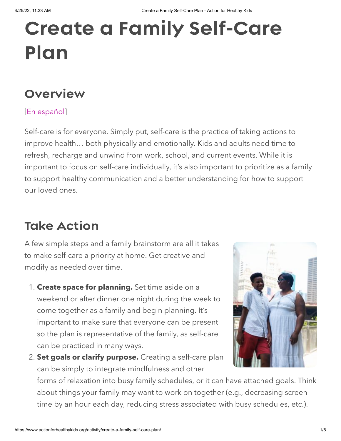# Create a Family Self-Care Plan

## **Overview**

#### [\[En español](https://www.actionforhealthykids.org/activity/crea-un-plan-de-autocuidado-familiar/)]

Self-care is for everyone. Simply put, self-care is the practice of taking actions to improve health… both physically and emotionally. Kids and adults need time to refresh, recharge and unwind from work, school, and current events. While it is important to focus on self-care individually, it's also important to prioritize as a family to support healthy communication and a better understanding for how to support our loved ones.

# Take Action

A few simple steps and a family brainstorm are all it takes to make self-care a priority at home. Get creative and modify as needed over time.

- 1. **Create space for planning.** Set time aside on a weekend or after dinner one night during the week to come together as a family and begin planning. It's important to make sure that everyone can be present so the plan is representative of the family, as self-care can be practiced in many ways.
- 2. **Set goals or clarify purpose.** Creating a self-care plan can be simply to integrate mindfulness and other



forms of relaxation into busy family schedules, or it can have attached goals. Think about things your family may want to work on together (e.g., decreasing screen time by an hour each day, reducing stress associated with busy schedules, etc.).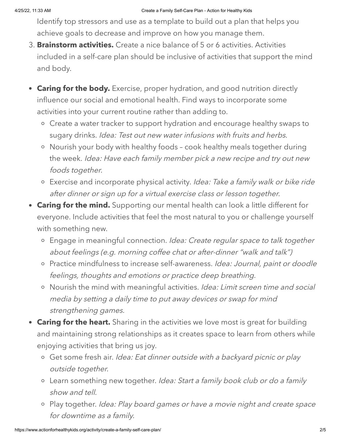Identify top stressors and use as a template to build out a plan that helps you achieve goals to decrease and improve on how you manage them.

- 3. **Brainstorm activities.** Create a nice balance of 5 or 6 activities. Activities included in a self-care plan should be inclusive of activities that support the mind and body.
- **Caring for the body.** Exercise, proper hydration, and good nutrition directly influence our social and emotional health. Find ways to incorporate some activities into your current routine rather than adding to.
	- Create a water tracker to support hydration and encourage healthy swaps to sugary drinks. Idea: Test out new water infusions with fruits and herbs.
	- Nourish your body with healthy foods cook healthy meals together during the week. Idea: Have each family member pick a new recipe and try out new foods together.
	- o Exercise and incorporate physical activity. Idea: Take a family walk or bike ride after dinner or sign up for a virtual exercise class or lesson together.
- **Caring for the mind.** Supporting our mental health can look a little different for everyone. Include activities that feel the most natural to you or challenge yourself with something new.
	- o Engage in meaningful connection. Idea: Create regular space to talk together about feelings (e.g. morning coffee chat or after-dinner "walk and talk")
	- o Practice mindfulness to increase self-awareness. Idea: Journal, paint or doodle feelings, thoughts and emotions or practice deep breathing.
	- o Nourish the mind with meaningful activities. Idea: Limit screen time and social media by setting a daily time to put away devices or swap for mind strengthening games.
- **Caring for the heart.** Sharing in the activities we love most is great for building and maintaining strong relationships as it creates space to learn from others while enjoying activities that bring us joy.
	- o Get some fresh air. Idea: Eat dinner outside with a backyard picnic or play outside together.
	- Learn something new together. Idea: Start a family book club or do a family show and tell.
	- o Play together. Idea: Play board games or have a movie night and create space for downtime as a family.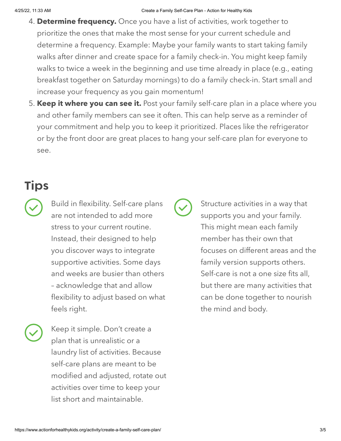- 4. **Determine frequency.** Once you have a list of activities, work together to prioritize the ones that make the most sense for your current schedule and determine a frequency. Example: Maybe your family wants to start taking family walks after dinner and create space for a family check-in. You might keep family walks to twice a week in the beginning and use time already in place (e.g., eating breakfast together on Saturday mornings) to do a family check-in. Start small and increase your frequency as you gain momentum!
- 5. **Keep it where you can see it.** Post your family self-care plan in a place where you and other family members can see it often. This can help serve as a reminder of your commitment and help you to keep it prioritized. Places like the refrigerator or by the front door are great places to hang your self-care plan for everyone to see.

## **Tips**

- Build in flexibility. Self-care plans are not intended to add more stress to your current routine. Instead, their designed to help you discover ways to integrate supportive activities. Some days and weeks are busier than others – acknowledge that and allow flexibility to adjust based on what feels right.
- Keep it simple. Don't create a plan that is unrealistic or a laundry list of activities. Because self-care plans are meant to be modified and adjusted, rotate out activities over time to keep your list short and maintainable.

Structure activities in a way that supports you and your family. This might mean each family member has their own that focuses on different areas and the family version supports others. Self-care is not a one size fits all, but there are many activities that can be done together to nourish the mind and body.